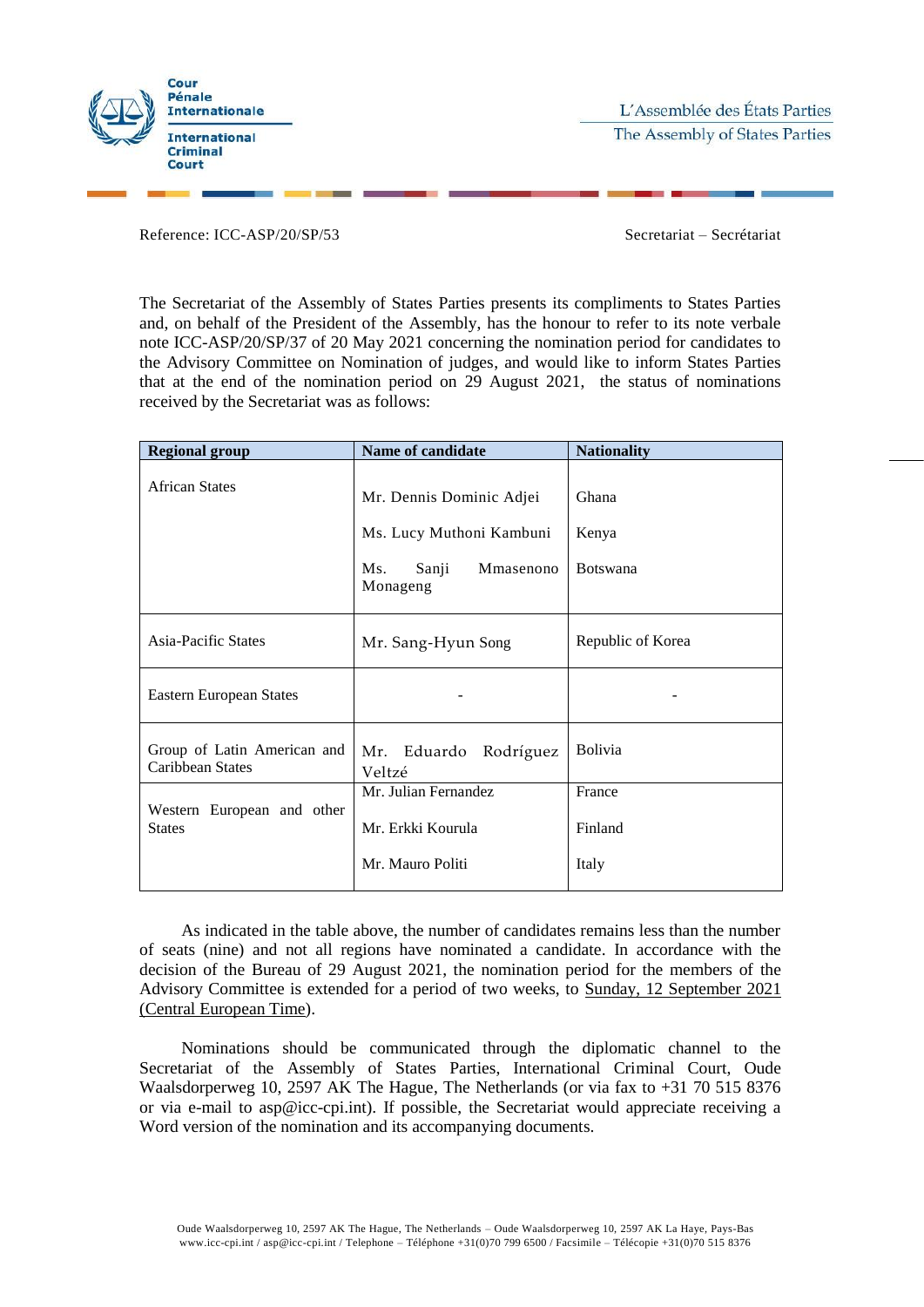

L'Assemblée des États Parties The Assembly of States Parties

Reference: ICC-ASP/20/SP/53 Secretariat – Secrétariat

The Secretariat of the Assembly of States Parties presents its compliments to States Parties and, on behalf of the President of the Assembly, has the honour to refer to its note verbale note ICC-ASP/20/SP/37 of 20 May 2021 concerning the nomination period for candidates to the Advisory Committee on Nomination of judges, and would like to inform States Parties that at the end of the nomination period on 29 August 2021, the status of nominations received by the Secretariat was as follows:

| <b>Regional group</b>                           | <b>Name of candidate</b>                             | <b>Nationality</b> |
|-------------------------------------------------|------------------------------------------------------|--------------------|
| <b>African States</b>                           | Mr. Dennis Dominic Adjei<br>Ms. Lucy Muthoni Kambuni | Ghana<br>Kenya     |
|                                                 | Sanji<br>Mmasenono<br>Ms.<br>Monageng                | <b>Botswana</b>    |
| Asia-Pacific States                             | Mr. Sang-Hyun Song                                   | Republic of Korea  |
| Eastern European States                         |                                                      |                    |
| Group of Latin American and<br>Caribbean States | Mr. Eduardo Rodríguez<br>Veltzé                      | <b>Bolivia</b>     |
|                                                 | Mr. Julian Fernandez                                 | France             |
| Western European and other<br><b>States</b>     | Mr. Erkki Kourula                                    | Finland            |
|                                                 | Mr. Mauro Politi                                     | Italy              |

As indicated in the table above, the number of candidates remains less than the number of seats (nine) and not all regions have nominated a candidate. In accordance with the decision of the Bureau of 29 August 2021, the nomination period for the members of the Advisory Committee is extended for a period of two weeks, to Sunday, 12 September 2021 (Central European Time).

Nominations should be communicated through the diplomatic channel to the Secretariat of the Assembly of States Parties, International Criminal Court, Oude Waalsdorperweg 10, 2597 AK The Hague, The Netherlands (or via fax to +31 70 515 8376 or via e-mail to asp@icc-cpi.int). If possible, the Secretariat would appreciate receiving a Word version of the nomination and its accompanying documents.